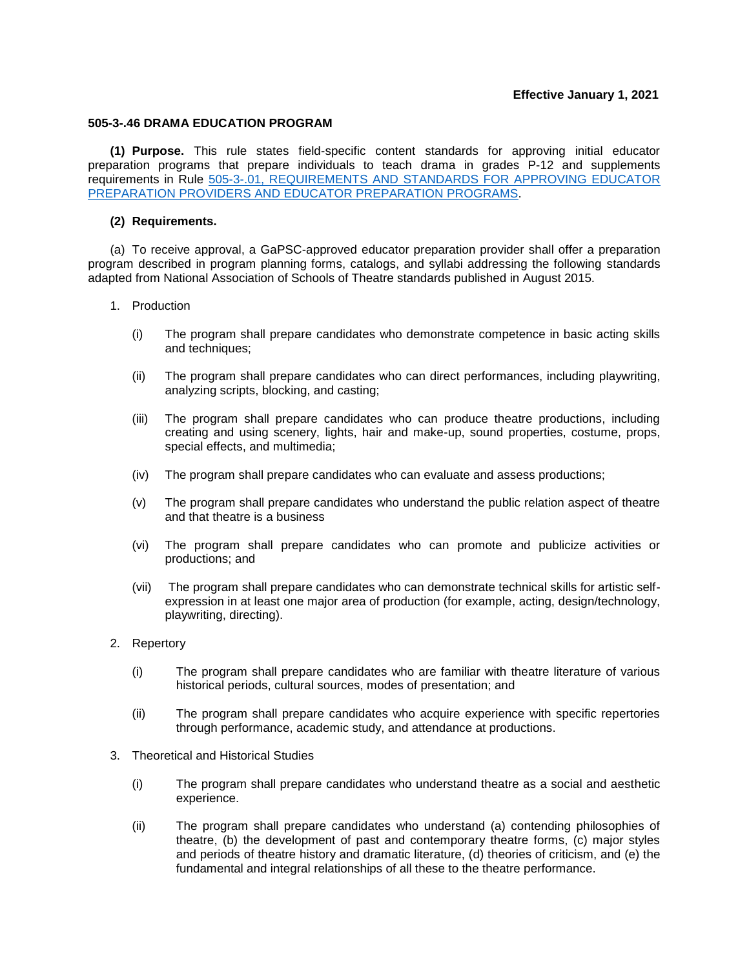## **505-3-.46 DRAMA EDUCATION PROGRAM**

**(1) Purpose.** This rule states field-specific content standards for approving initial educator preparation programs that prepare individuals to teach drama in grades P-12 and supplements requirements in [Rule 505-3-.01, REQUIREMENTS AND STANDARDS FOR APPROVING EDUCATOR](https://www.gapsc.com/Rules/Current/EducatorPreparation/505-3-.01.pdf?dt=%3C%25#Eval()  PREPARATION PROVIDERS [AND EDUCATOR PREPARATION PROGRAMS.](https://www.gapsc.com/Rules/Current/EducatorPreparation/505-3-.01.pdf?dt=%3C%25#Eval()

## **(2) Requirements.**

(a) To receive approval, a GaPSC-approved educator preparation provider shall offer a preparation program described in program planning forms, catalogs, and syllabi addressing the following standards adapted from National Association of Schools of Theatre standards published in August 2015.

## 1. Production

- (i) The program shall prepare candidates who demonstrate competence in basic acting skills and techniques;
- (ii) The program shall prepare candidates who can direct performances, including playwriting, analyzing scripts, blocking, and casting;
- (iii) The program shall prepare candidates who can produce theatre productions, including creating and using scenery, lights, hair and make-up, sound properties, costume, props, special effects, and multimedia;
- (iv) The program shall prepare candidates who can evaluate and assess productions;
- (v) The program shall prepare candidates who understand the public relation aspect of theatre and that theatre is a business
- (vi) The program shall prepare candidates who can promote and publicize activities or productions; and
- (vii) The program shall prepare candidates who can demonstrate technical skills for artistic selfexpression in at least one major area of production (for example, acting, design/technology, playwriting, directing).
- 2. Repertory
	- (i) The program shall prepare candidates who are familiar with theatre literature of various historical periods, cultural sources, modes of presentation; and
	- (ii) The program shall prepare candidates who acquire experience with specific repertories through performance, academic study, and attendance at productions.
- 3. Theoretical and Historical Studies
	- (i) The program shall prepare candidates who understand theatre as a social and aesthetic experience.
	- (ii) The program shall prepare candidates who understand (a) contending philosophies of theatre, (b) the development of past and contemporary theatre forms, (c) major styles and periods of theatre history and dramatic literature, (d) theories of criticism, and (e) the fundamental and integral relationships of all these to the theatre performance.